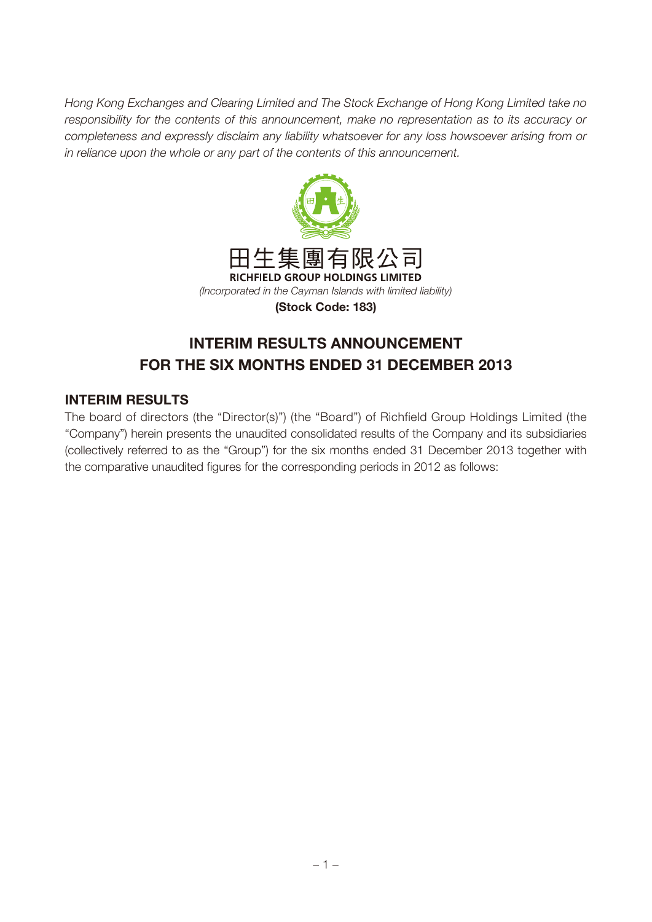Hong Kong Exchanges and Clearing Limited and The Stock Exchange of Hong Kong Limited take no responsibility for the contents of this announcement, make no representation as to its accuracy or completeness and expressly disclaim any liability whatsoever for any loss howsoever arising from or in reliance upon the whole or any part of the contents of this announcement.



# **INTERIM RESULTS ANNOUNCEMENT FOR THE SIX MONTHS ENDED 31 DECEMBER 2013**

#### **INTERIM RESULTS**

The board of directors (the "Director(s)") (the "Board") of Richfield Group Holdings Limited (the "Company") herein presents the unaudited consolidated results of the Company and its subsidiaries (collectively referred to as the "Group") for the six months ended 31 December 2013 together with the comparative unaudited figures for the corresponding periods in 2012 as follows: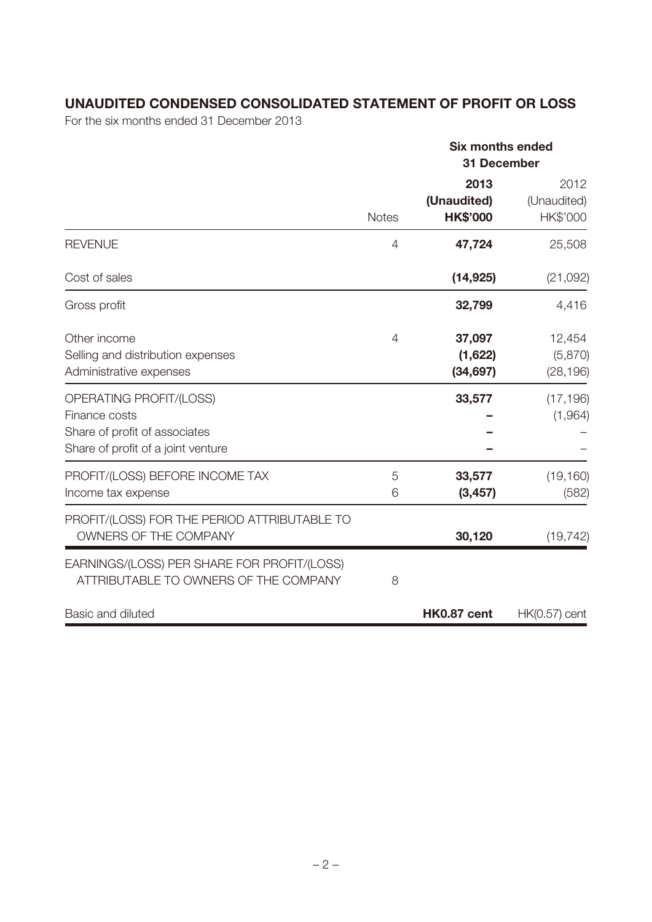## **UNAUDITED CONDENSED CONSOLIDATED STATEMENT OF PROFIT OR LOSS**

For the six months ended 31 December 2013

|                                                                                                                 |                | <b>Six months ended</b><br><b>31 December</b> |                                 |
|-----------------------------------------------------------------------------------------------------------------|----------------|-----------------------------------------------|---------------------------------|
|                                                                                                                 | <b>Notes</b>   | 2013<br>(Unaudited)<br><b>HK\$'000</b>        | 2012<br>(Unaudited)<br>HK\$'000 |
| <b>REVENUE</b>                                                                                                  | 4              | 47,724                                        | 25,508                          |
| Cost of sales                                                                                                   |                | (14, 925)                                     | (21,092)                        |
| Gross profit                                                                                                    |                | 32,799                                        | 4,416                           |
| Other income<br>Selling and distribution expenses<br>Administrative expenses                                    | $\overline{4}$ | 37,097<br>(1,622)<br>(34, 697)                | 12,454<br>(5,870)<br>(28, 196)  |
| OPERATING PROFIT/(LOSS)<br>Finance costs<br>Share of profit of associates<br>Share of profit of a joint venture |                | 33,577                                        | (17, 196)<br>(1,964)            |
| PROFIT/(LOSS) BEFORE INCOME TAX<br>Income tax expense                                                           | 5<br>6         | 33,577<br>(3, 457)                            | (19, 160)<br>(582)              |
| PROFIT/(LOSS) FOR THE PERIOD ATTRIBUTABLE TO<br>OWNERS OF THE COMPANY                                           |                | 30,120                                        | (19, 742)                       |
| EARNINGS/(LOSS) PER SHARE FOR PROFIT/(LOSS)<br>ATTRIBUTABLE TO OWNERS OF THE COMPANY                            | 8              |                                               |                                 |
| Basic and diluted                                                                                               |                | HK0.87 cent                                   | $HK(0.57)$ cent                 |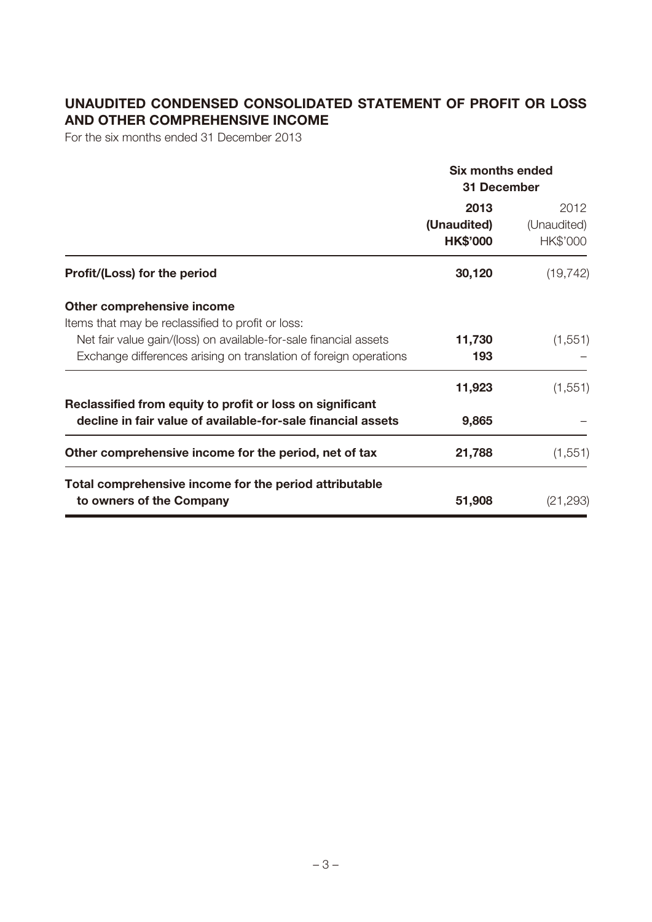# **UNAUDITED CONDENSED CONSOLIDATED STATEMENT OF PROFIT OR LOSS AND OTHER COMPREHENSIVE INCOME**

For the six months ended 31 December 2013

|                                                                   | <b>Six months ended</b>                |                                 |  |  |
|-------------------------------------------------------------------|----------------------------------------|---------------------------------|--|--|
|                                                                   | 31 December                            |                                 |  |  |
|                                                                   | 2013<br>(Unaudited)<br><b>HK\$'000</b> | 2012<br>(Unaudited)<br>HK\$'000 |  |  |
| Profit/(Loss) for the period                                      | 30,120                                 | (19, 742)                       |  |  |
| Other comprehensive income                                        |                                        |                                 |  |  |
| Items that may be reclassified to profit or loss:                 |                                        |                                 |  |  |
| Net fair value gain/(loss) on available-for-sale financial assets | 11,730                                 | (1,551)                         |  |  |
| Exchange differences arising on translation of foreign operations | 193                                    |                                 |  |  |
|                                                                   | 11,923                                 | (1, 551)                        |  |  |
| Reclassified from equity to profit or loss on significant         |                                        |                                 |  |  |
| decline in fair value of available-for-sale financial assets      | 9,865                                  |                                 |  |  |
| Other comprehensive income for the period, net of tax             | 21,788                                 | (1, 551)                        |  |  |
| Total comprehensive income for the period attributable            |                                        |                                 |  |  |
| to owners of the Company                                          | 51,908                                 | (21, 293)                       |  |  |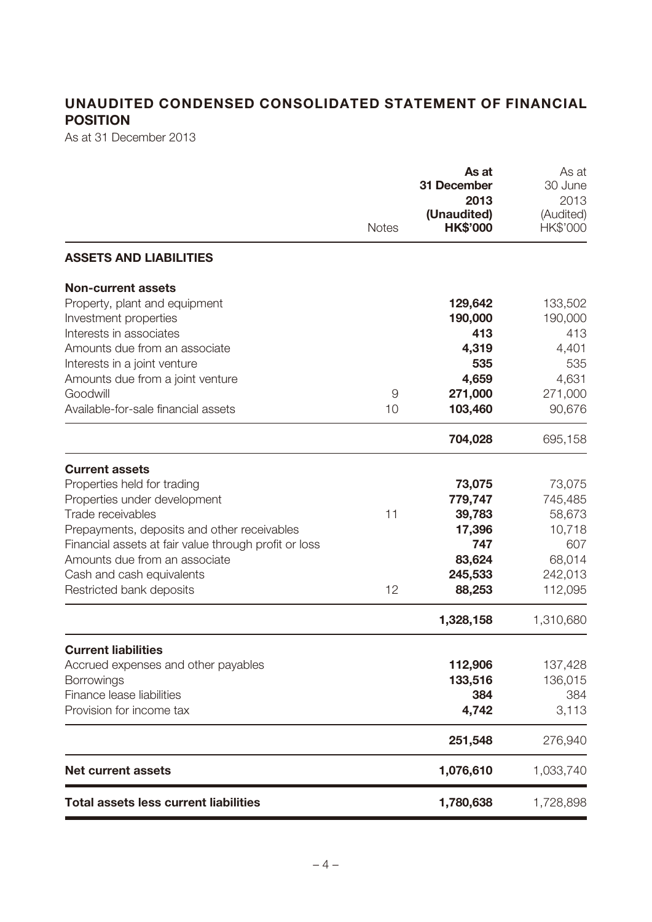# **UNAUDITED CONDENSED CONSOLIDATED STATEMENT OF FINANCIAL POSITION**

As at 31 December 2013

|                                                       | <b>Notes</b> | As at<br>31 December<br>2013<br>(Unaudited)<br><b>HK\$'000</b> | As at<br>30 June<br>2013<br>(Audited)<br>HK\$'000 |
|-------------------------------------------------------|--------------|----------------------------------------------------------------|---------------------------------------------------|
| <b>ASSETS AND LIABILITIES</b>                         |              |                                                                |                                                   |
| <b>Non-current assets</b>                             |              |                                                                |                                                   |
| Property, plant and equipment                         |              | 129,642                                                        | 133,502                                           |
| Investment properties                                 |              | 190,000                                                        | 190,000                                           |
| Interests in associates                               |              | 413                                                            | 413                                               |
| Amounts due from an associate                         |              | 4,319                                                          | 4,401                                             |
| Interests in a joint venture                          |              | 535                                                            | 535                                               |
| Amounts due from a joint venture                      |              | 4,659                                                          | 4,631                                             |
| Goodwill<br>Available-for-sale financial assets       | 9            | 271,000                                                        | 271,000                                           |
|                                                       | 10           | 103,460                                                        | 90,676                                            |
|                                                       |              | 704,028                                                        | 695,158                                           |
| <b>Current assets</b>                                 |              |                                                                |                                                   |
| Properties held for trading                           |              | 73,075                                                         | 73,075                                            |
| Properties under development                          |              | 779,747                                                        | 745,485                                           |
| Trade receivables                                     | 11           | 39,783                                                         | 58,673                                            |
| Prepayments, deposits and other receivables           |              | 17,396                                                         | 10,718                                            |
| Financial assets at fair value through profit or loss |              | 747                                                            | 607                                               |
| Amounts due from an associate                         |              | 83,624                                                         | 68,014                                            |
| Cash and cash equivalents                             |              | 245,533                                                        | 242,013                                           |
| Restricted bank deposits                              | 12           | 88,253                                                         | 112,095                                           |
|                                                       |              | 1,328,158                                                      | 1,310,680                                         |
| <b>Current liabilities</b>                            |              |                                                                |                                                   |
| Accrued expenses and other payables                   |              | 112,906                                                        | 137,428                                           |
| <b>Borrowings</b>                                     |              | 133,516                                                        | 136,015                                           |
| Finance lease liabilities                             |              | 384                                                            | 384                                               |
| Provision for income tax                              |              | 4,742                                                          | 3,113                                             |
|                                                       |              | 251,548                                                        | 276,940                                           |
| <b>Net current assets</b>                             |              | 1,076,610                                                      | 1,033,740                                         |
| <b>Total assets less current liabilities</b>          |              | 1,780,638                                                      | 1,728,898                                         |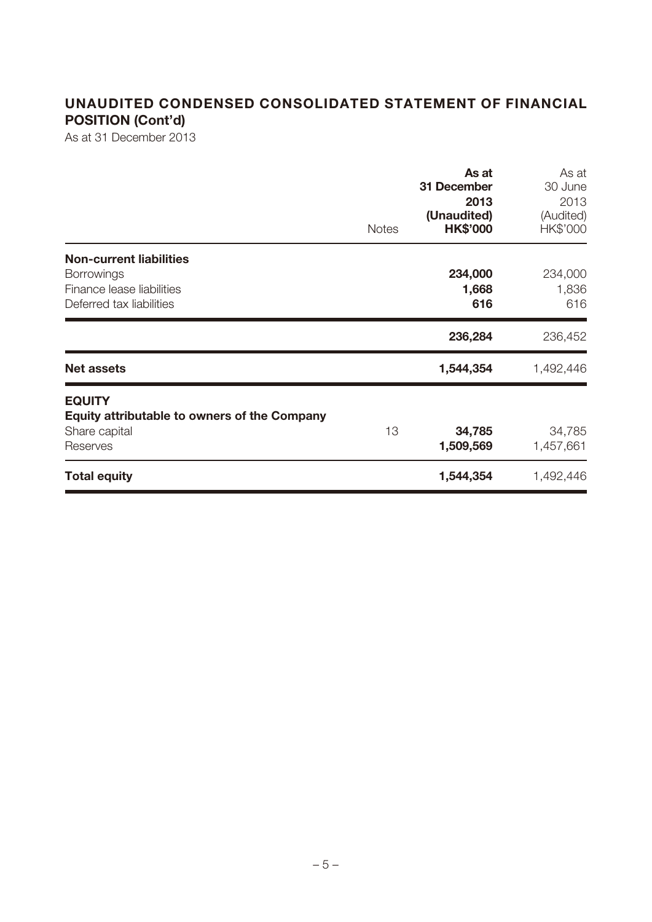# **UNAUDITED CONDENSED CONSOLIDATED STATEMENT OF FINANCIAL POSITION (Cont'd)**

As at 31 December 2013

|                                                                                                              | <b>Notes</b> | As at<br>31 December<br>2013<br>(Unaudited)<br><b>HK\$'000</b> | As at<br>30 June<br>2013<br>(Audited)<br>HK\$'000 |
|--------------------------------------------------------------------------------------------------------------|--------------|----------------------------------------------------------------|---------------------------------------------------|
| <b>Non-current liabilities</b><br><b>Borrowings</b><br>Finance lease liabilities<br>Deferred tax liabilities |              | 234,000<br>1,668<br>616                                        | 234,000<br>1,836<br>616                           |
|                                                                                                              |              | 236,284                                                        | 236,452                                           |
| <b>Net assets</b>                                                                                            |              | 1,544,354                                                      | 1,492,446                                         |
| <b>EQUITY</b><br><b>Equity attributable to owners of the Company</b><br>Share capital<br>Reserves            | 13           | 34,785<br>1,509,569                                            | 34,785<br>1,457,661                               |
| <b>Total equity</b>                                                                                          |              | 1,544,354                                                      | 1,492,446                                         |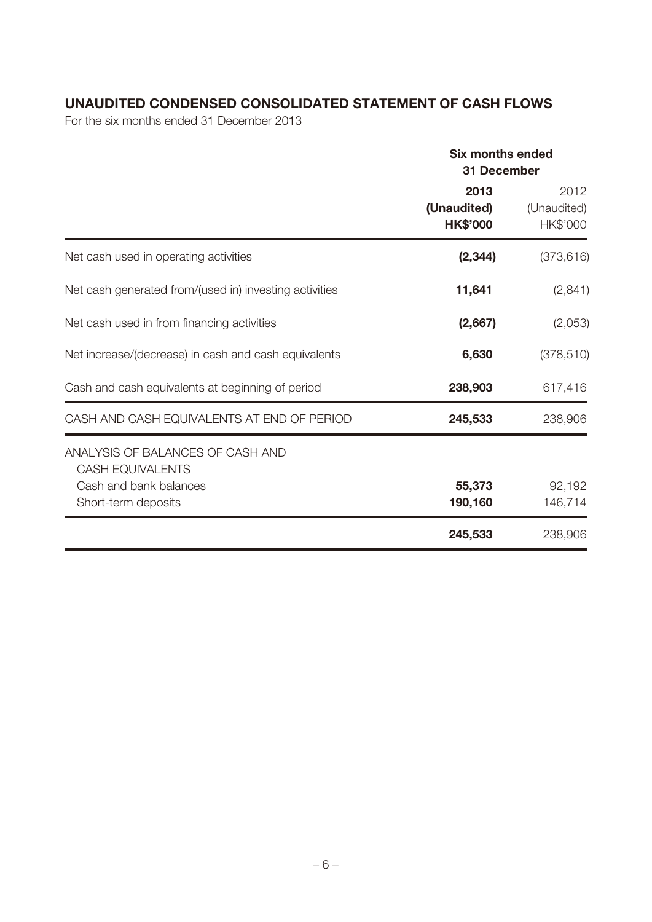### **UNAUDITED CONDENSED CONSOLIDATED STATEMENT OF CASH FLOWS**

For the six months ended 31 December 2013

|                                                                                                              | <b>Six months ended</b><br>31 December |                                 |  |
|--------------------------------------------------------------------------------------------------------------|----------------------------------------|---------------------------------|--|
|                                                                                                              | 2013<br>(Unaudited)<br><b>HK\$'000</b> | 2012<br>(Unaudited)<br>HK\$'000 |  |
| Net cash used in operating activities                                                                        | (2, 344)                               | (373, 616)                      |  |
| Net cash generated from/(used in) investing activities                                                       | 11,641                                 | (2,841)                         |  |
| Net cash used in from financing activities                                                                   | (2,667)                                | (2,053)                         |  |
| Net increase/(decrease) in cash and cash equivalents                                                         | 6,630                                  | (378, 510)                      |  |
| Cash and cash equivalents at beginning of period                                                             | 238,903                                | 617,416                         |  |
| CASH AND CASH EQUIVALENTS AT END OF PERIOD                                                                   | 245,533                                | 238,906                         |  |
| ANALYSIS OF BALANCES OF CASH AND<br><b>CASH EQUIVALENTS</b><br>Cash and bank balances<br>Short-term deposits | 55,373<br>190,160                      | 92,192<br>146,714               |  |
|                                                                                                              | 245,533                                | 238,906                         |  |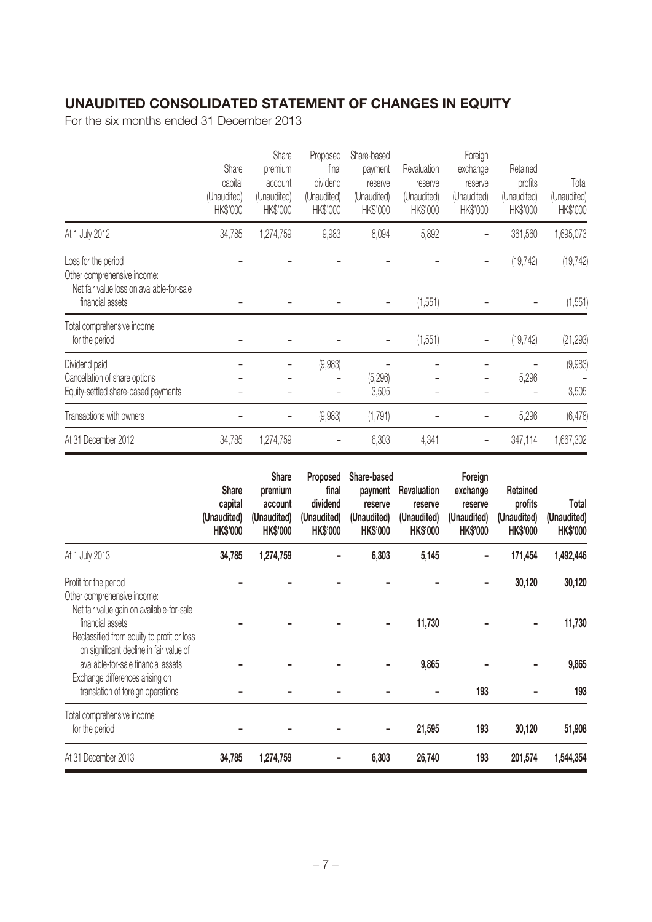### **UNAUDITED CONSOLIDATED STATEMENT OF CHANGES IN EQUITY**

For the six months ended 31 December 2013

|                                                                                                 | Share<br>capital<br>(Unaudited)<br>HK\$'000 | Share<br>premium<br>account<br>(Unaudited)<br>HK\$'000 | Proposed<br>final<br>dividend<br>(Unaudited)<br>HK\$'000 | Share-based<br>payment<br>reserve<br>(Unaudited)<br>HK\$'000 | Revaluation<br>reserve<br>(Unaudited)<br>HK\$'000 | Foreign<br>exchange<br>reserve<br>(Unaudited)<br>HK\$'000 | Retained<br>profits<br>(Unaudited)<br>HK\$'000 | Total<br>(Unaudited)<br>HK\$'000 |
|-------------------------------------------------------------------------------------------------|---------------------------------------------|--------------------------------------------------------|----------------------------------------------------------|--------------------------------------------------------------|---------------------------------------------------|-----------------------------------------------------------|------------------------------------------------|----------------------------------|
| At 1 July 2012                                                                                  | 34,785                                      | 1,274,759                                              | 9,983                                                    | 8,094                                                        | 5,892                                             |                                                           | 361,560                                        | 1,695,073                        |
| Loss for the period<br>Other comprehensive income:<br>Net fair value loss on available-for-sale |                                             |                                                        |                                                          |                                                              |                                                   |                                                           | (19, 742)                                      | (19, 742)                        |
| financial assets                                                                                |                                             |                                                        |                                                          |                                                              | (1, 551)                                          |                                                           |                                                | (1, 551)                         |
| Total comprehensive income<br>for the period                                                    |                                             |                                                        |                                                          |                                                              | (1, 551)                                          |                                                           | (19, 742)                                      | (21, 293)                        |
| Dividend paid                                                                                   |                                             |                                                        | (9,983)                                                  |                                                              |                                                   |                                                           |                                                | (9,983)                          |
| Cancellation of share options<br>Equity-settled share-based payments                            |                                             |                                                        |                                                          | (5, 296)<br>3,505                                            |                                                   |                                                           | 5,296                                          | 3,505                            |
| Transactions with owners                                                                        |                                             |                                                        | (9,983)                                                  | (1,791)                                                      |                                                   |                                                           | 5,296                                          | (6, 478)                         |
| At 31 December 2012                                                                             | 34,785                                      | 1,274,759                                              |                                                          | 6,303                                                        | 4,341                                             |                                                           | 347,114                                        | 1,667,302                        |

|                                                                                                                                                        | <b>Share</b><br>capital<br>(Unaudited)<br><b>HK\$'000</b> | <b>Share</b><br>premium<br>account<br>(Unaudited)<br><b>HK\$'000</b> | Proposed<br>final<br>dividend<br>(Unaudited)<br><b>HK\$'000</b> | Share-based<br>payment<br>reserve<br>(Unaudited)<br><b>HK\$'000</b> | <b>Revaluation</b><br>reserve<br>(Unaudited)<br><b>HK\$'000</b> | Foreign<br>exchange<br>reserve<br>(Unaudited)<br><b>HK\$'000</b> | Retained<br>profits<br>(Unaudited)<br><b>HK\$'000</b> | Total<br>(Unaudited)<br><b>HK\$'000</b> |
|--------------------------------------------------------------------------------------------------------------------------------------------------------|-----------------------------------------------------------|----------------------------------------------------------------------|-----------------------------------------------------------------|---------------------------------------------------------------------|-----------------------------------------------------------------|------------------------------------------------------------------|-------------------------------------------------------|-----------------------------------------|
| At 1 July 2013                                                                                                                                         | 34,785                                                    | 1,274,759                                                            |                                                                 | 6,303                                                               | 5,145                                                           |                                                                  | 171,454                                               | 1,492,446                               |
| Profit for the period<br>Other comprehensive income:                                                                                                   |                                                           |                                                                      |                                                                 |                                                                     |                                                                 |                                                                  | 30,120                                                | 30,120                                  |
| Net fair value gain on available-for-sale<br>financial assets<br>Reclassified from equity to profit or loss<br>on significant decline in fair value of |                                                           |                                                                      |                                                                 |                                                                     | 11,730                                                          |                                                                  |                                                       | 11,730                                  |
| available-for-sale financial assets                                                                                                                    |                                                           |                                                                      |                                                                 |                                                                     | 9,865                                                           |                                                                  |                                                       | 9,865                                   |
| Exchange differences arising on<br>translation of foreign operations                                                                                   |                                                           |                                                                      |                                                                 |                                                                     |                                                                 | 193                                                              |                                                       | 193                                     |
| Total comprehensive income<br>for the period                                                                                                           |                                                           |                                                                      |                                                                 |                                                                     | 21,595                                                          | 193                                                              | 30,120                                                | 51,908                                  |
| At 31 December 2013                                                                                                                                    | 34,785                                                    | 1,274,759                                                            |                                                                 | 6,303                                                               | 26,740                                                          | 193                                                              | 201,574                                               | 1,544,354                               |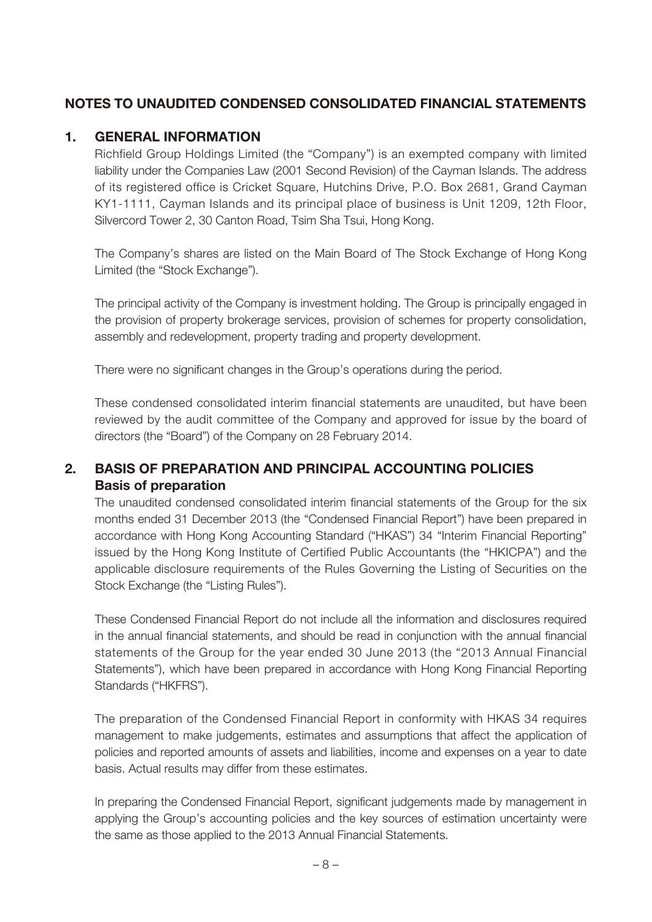### **NOTES TO UNAUDITED CONDENSED CONSOLIDATED FINANCIAL STATEMENTS**

#### **1. GENERAL INFORMATION**

Richfield Group Holdings Limited (the "Company") is an exempted company with limited liability under the Companies Law (2001 Second Revision) of the Cayman Islands. The address of its registered office is Cricket Square, Hutchins Drive, P.O. Box 2681, Grand Cayman KY1-1111, Cayman Islands and its principal place of business is Unit 1209, 12th Floor, Silvercord Tower 2, 30 Canton Road, Tsim Sha Tsui, Hong Kong.

The Company's shares are listed on the Main Board of The Stock Exchange of Hong Kong Limited (the "Stock Exchange").

The principal activity of the Company is investment holding. The Group is principally engaged in the provision of property brokerage services, provision of schemes for property consolidation, assembly and redevelopment, property trading and property development.

There were no significant changes in the Group's operations during the period.

These condensed consolidated interim financial statements are unaudited, but have been reviewed by the audit committee of the Company and approved for issue by the board of directors (the "Board") of the Company on 28 February 2014.

### **2. BASIS OF PREPARATION AND PRINCIPAL ACCOUNTING POLICIES Basis of preparation**

The unaudited condensed consolidated interim financial statements of the Group for the six months ended 31 December 2013 (the "Condensed Financial Report") have been prepared in accordance with Hong Kong Accounting Standard ("HKAS") 34 "Interim Financial Reporting" issued by the Hong Kong Institute of Certified Public Accountants (the "HKICPA") and the applicable disclosure requirements of the Rules Governing the Listing of Securities on the Stock Exchange (the "Listing Rules").

These Condensed Financial Report do not include all the information and disclosures required in the annual financial statements, and should be read in conjunction with the annual financial statements of the Group for the year ended 30 June 2013 (the "2013 Annual Financial Statements"), which have been prepared in accordance with Hong Kong Financial Reporting Standards ("HKFRS").

The preparation of the Condensed Financial Report in conformity with HKAS 34 requires management to make judgements, estimates and assumptions that affect the application of policies and reported amounts of assets and liabilities, income and expenses on a year to date basis. Actual results may differ from these estimates.

In preparing the Condensed Financial Report, significant judgements made by management in applying the Group's accounting policies and the key sources of estimation uncertainty were the same as those applied to the 2013 Annual Financial Statements.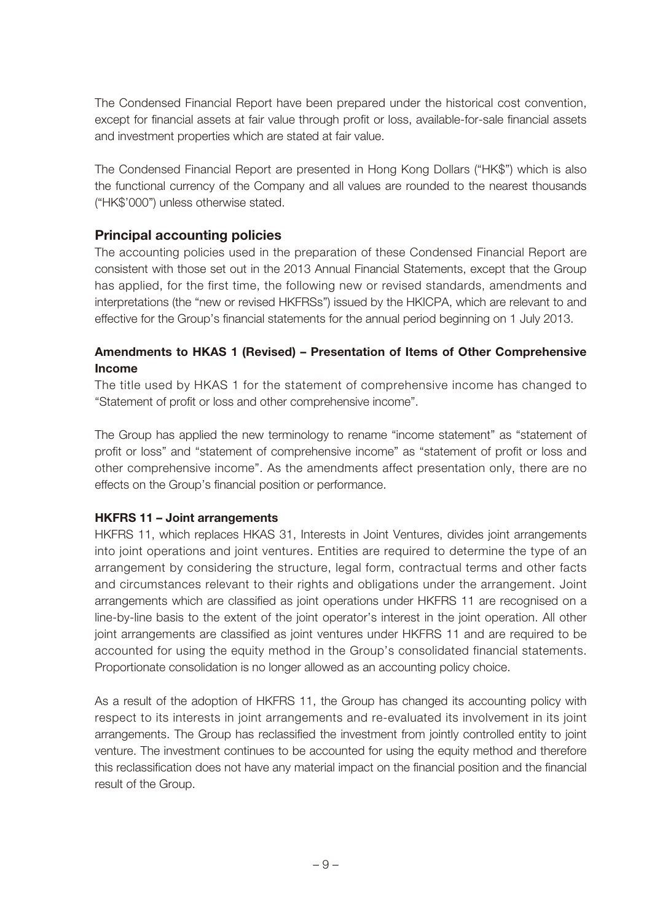The Condensed Financial Report have been prepared under the historical cost convention, except for financial assets at fair value through profit or loss, available-for-sale financial assets and investment properties which are stated at fair value.

The Condensed Financial Report are presented in Hong Kong Dollars ("HK\$") which is also the functional currency of the Company and all values are rounded to the nearest thousands ("HK\$'000") unless otherwise stated.

#### **Principal accounting policies**

The accounting policies used in the preparation of these Condensed Financial Report are consistent with those set out in the 2013 Annual Financial Statements, except that the Group has applied, for the first time, the following new or revised standards, amendments and interpretations (the "new or revised HKFRSs") issued by the HKICPA, which are relevant to and effective for the Group's financial statements for the annual period beginning on 1 July 2013.

#### **Amendments to HKAS 1 (Revised) – Presentation of Items of Other Comprehensive Income**

The title used by HKAS 1 for the statement of comprehensive income has changed to "Statement of profit or loss and other comprehensive income".

The Group has applied the new terminology to rename "income statement" as "statement of profit or loss" and "statement of comprehensive income" as "statement of profit or loss and other comprehensive income". As the amendments affect presentation only, there are no effects on the Group's financial position or performance.

#### **HKFRS 11 – Joint arrangements**

HKFRS 11, which replaces HKAS 31, Interests in Joint Ventures, divides joint arrangements into joint operations and joint ventures. Entities are required to determine the type of an arrangement by considering the structure, legal form, contractual terms and other facts and circumstances relevant to their rights and obligations under the arrangement. Joint arrangements which are classified as joint operations under HKFRS 11 are recognised on a line-by-line basis to the extent of the joint operator's interest in the joint operation. All other joint arrangements are classified as joint ventures under HKFRS 11 and are required to be accounted for using the equity method in the Group's consolidated financial statements. Proportionate consolidation is no longer allowed as an accounting policy choice.

As a result of the adoption of HKFRS 11, the Group has changed its accounting policy with respect to its interests in joint arrangements and re-evaluated its involvement in its joint arrangements. The Group has reclassified the investment from jointly controlled entity to joint venture. The investment continues to be accounted for using the equity method and therefore this reclassification does not have any material impact on the financial position and the financial result of the Group.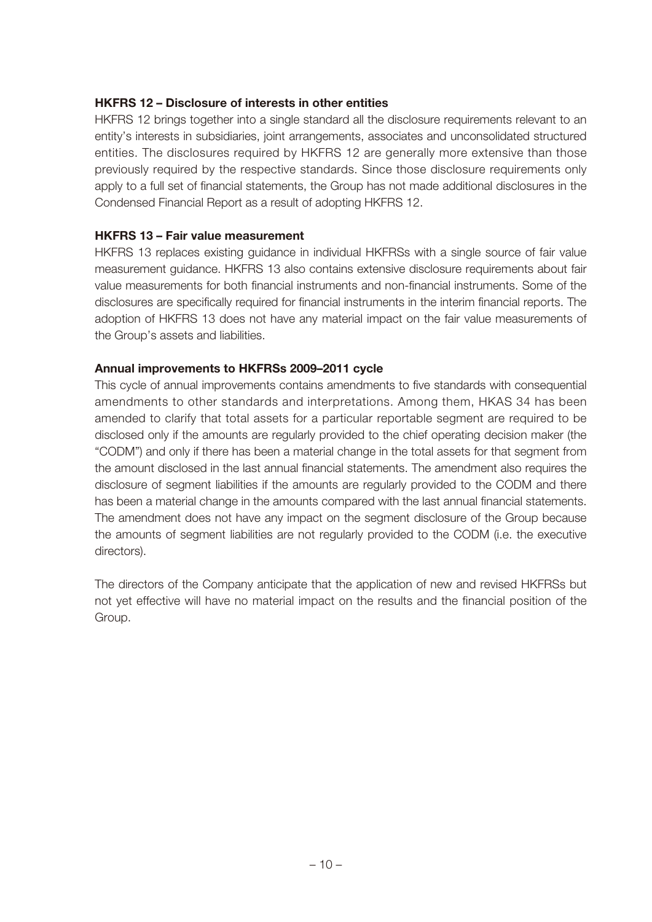#### **HKFRS 12 – Disclosure of interests in other entities**

HKFRS 12 brings together into a single standard all the disclosure requirements relevant to an entity's interests in subsidiaries, joint arrangements, associates and unconsolidated structured entities. The disclosures required by HKFRS 12 are generally more extensive than those previously required by the respective standards. Since those disclosure requirements only apply to a full set of financial statements, the Group has not made additional disclosures in the Condensed Financial Report as a result of adopting HKFRS 12.

#### **HKFRS 13 – Fair value measurement**

HKFRS 13 replaces existing guidance in individual HKFRSs with a single source of fair value measurement guidance. HKFRS 13 also contains extensive disclosure requirements about fair value measurements for both financial instruments and non-financial instruments. Some of the disclosures are specifically required for financial instruments in the interim financial reports. The adoption of HKFRS 13 does not have any material impact on the fair value measurements of the Group's assets and liabilities.

#### **Annual improvements to HKFRSs 2009–2011 cycle**

This cycle of annual improvements contains amendments to five standards with consequential amendments to other standards and interpretations. Among them, HKAS 34 has been amended to clarify that total assets for a particular reportable segment are required to be disclosed only if the amounts are regularly provided to the chief operating decision maker (the "CODM") and only if there has been a material change in the total assets for that segment from the amount disclosed in the last annual financial statements. The amendment also requires the disclosure of segment liabilities if the amounts are regularly provided to the CODM and there has been a material change in the amounts compared with the last annual financial statements. The amendment does not have any impact on the segment disclosure of the Group because the amounts of segment liabilities are not regularly provided to the CODM (i.e. the executive directors).

The directors of the Company anticipate that the application of new and revised HKFRSs but not yet effective will have no material impact on the results and the financial position of the Group.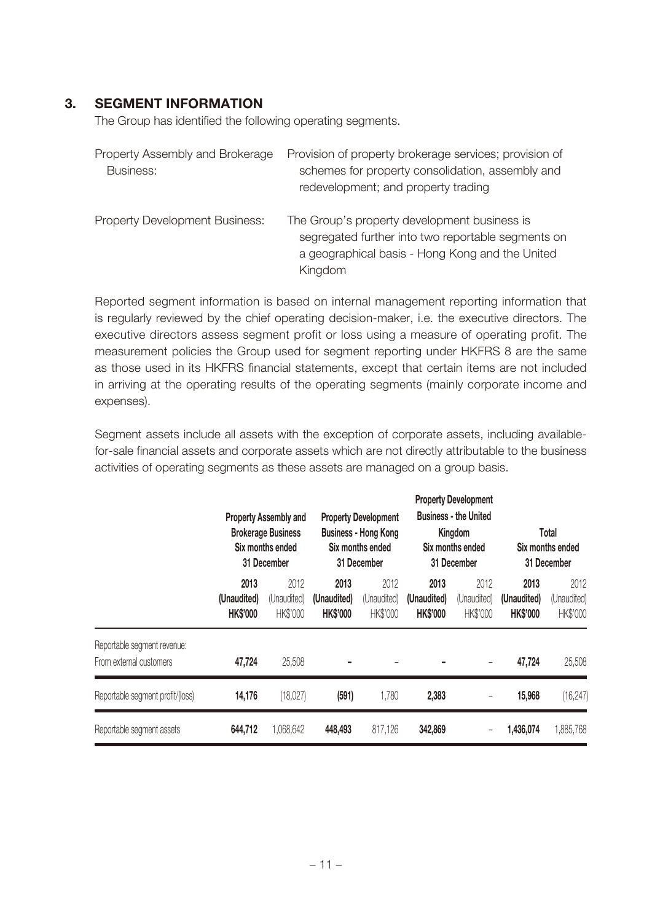#### **3. SEGMENT INFORMATION**

The Group has identified the following operating segments.

| Property Assembly and Brokerage<br><b>Business:</b> | Provision of property brokerage services; provision of<br>schemes for property consolidation, assembly and<br>redevelopment; and property trading                |
|-----------------------------------------------------|------------------------------------------------------------------------------------------------------------------------------------------------------------------|
| <b>Property Development Business:</b>               | The Group's property development business is<br>segregated further into two reportable segments on<br>a geographical basis - Hong Kong and the United<br>Kingdom |

Reported segment information is based on internal management reporting information that is regularly reviewed by the chief operating decision-maker, i.e. the executive directors. The executive directors assess segment profit or loss using a measure of operating profit. The measurement policies the Group used for segment reporting under HKFRS 8 are the same as those used in its HKFRS financial statements, except that certain items are not included in arriving at the operating results of the operating segments (mainly corporate income and expenses).

Segment assets include all assets with the exception of corporate assets, including availablefor-sale financial assets and corporate assets which are not directly attributable to the business activities of operating segments as these assets are managed on a group basis.

|                                                        | <b>Property Assembly and</b><br><b>Brokerage Business</b><br>Six months ended<br>31 December |                                 | <b>Property Development</b><br><b>Business - Hong Kong</b><br>Six months ended<br>31 December |                                 | <b>Property Development</b><br><b>Business - the United</b><br>Kingdom<br>Six months ended<br>31 December |                                 | Total<br>Six months ended<br>31 December |                                 |
|--------------------------------------------------------|----------------------------------------------------------------------------------------------|---------------------------------|-----------------------------------------------------------------------------------------------|---------------------------------|-----------------------------------------------------------------------------------------------------------|---------------------------------|------------------------------------------|---------------------------------|
|                                                        | 2013<br>(Unaudited)<br><b>HK\$'000</b>                                                       | 2012<br>(Unaudited)<br>HK\$'000 | 2013<br>(Unaudited)<br><b>HK\$'000</b>                                                        | 2012<br>(Unaudited)<br>HK\$'000 | 2013<br>(Unaudited)<br><b>HK\$'000</b>                                                                    | 2012<br>(Unaudited)<br>HK\$'000 | 2013<br>(Unaudited)<br><b>HK\$'000</b>   | 2012<br>(Unaudited)<br>HK\$'000 |
| Reportable segment revenue:<br>From external customers | 47,724                                                                                       | 25,508                          |                                                                                               |                                 |                                                                                                           | -                               | 47,724                                   | 25,508                          |
| Reportable segment profit/(loss)                       | 14,176                                                                                       | (18,027)                        | (591)                                                                                         | 1,780                           | 2,383                                                                                                     |                                 | 15,968                                   | (16, 247)                       |
| Reportable segment assets                              | 644,712                                                                                      | 1,068,642                       | 448,493                                                                                       | 817,126                         | 342,869                                                                                                   |                                 | 1,436,074                                | 1,885,768                       |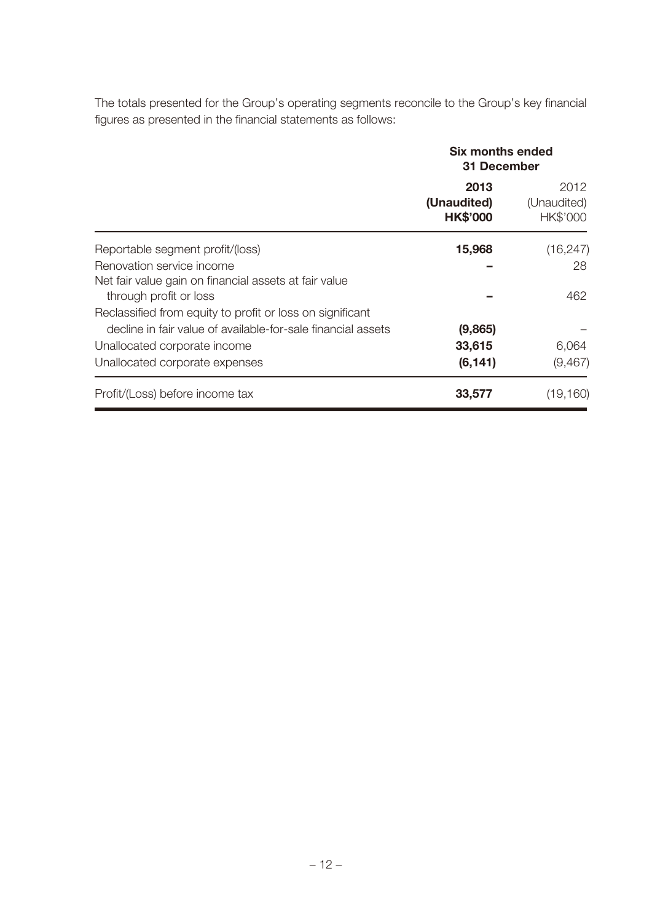The totals presented for the Group's operating segments reconcile to the Group's key financial figures as presented in the financial statements as follows:

|                                                                                 | Six months ended<br>31 December        |                                 |  |
|---------------------------------------------------------------------------------|----------------------------------------|---------------------------------|--|
|                                                                                 | 2013<br>(Unaudited)<br><b>HK\$'000</b> | 2012<br>(Unaudited)<br>HK\$'000 |  |
| Reportable segment profit/(loss)                                                | 15,968                                 | (16, 247)                       |  |
| Renovation service income                                                       |                                        | 28                              |  |
| Net fair value gain on financial assets at fair value<br>through profit or loss |                                        | 462                             |  |
| Reclassified from equity to profit or loss on significant                       |                                        |                                 |  |
| decline in fair value of available-for-sale financial assets                    | (9,865)                                |                                 |  |
| Unallocated corporate income                                                    | 33,615                                 | 6,064                           |  |
| Unallocated corporate expenses                                                  | (6, 141)                               | (9, 467)                        |  |
| Profit/(Loss) before income tax                                                 | 33,577                                 | (19, 160)                       |  |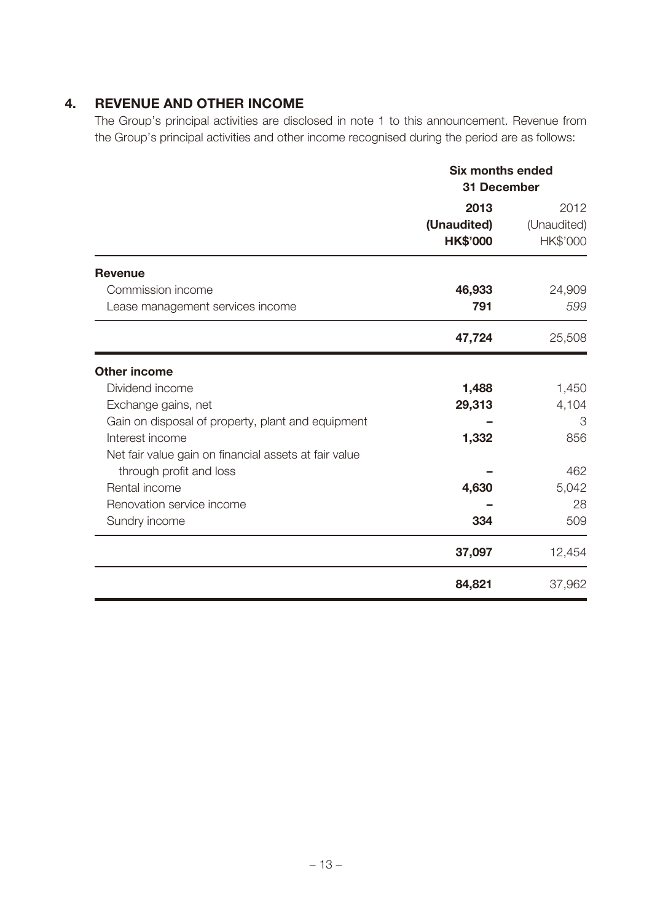### **4. REVENUE AND OTHER INCOME**

The Group's principal activities are disclosed in note 1 to this announcement. Revenue from the Group's principal activities and other income recognised during the period are as follows:

|                                                       | <b>Six months ended</b><br>31 December |                                 |  |
|-------------------------------------------------------|----------------------------------------|---------------------------------|--|
|                                                       | 2013<br>(Unaudited)<br><b>HK\$'000</b> | 2012<br>(Unaudited)<br>HK\$'000 |  |
| <b>Revenue</b>                                        |                                        |                                 |  |
| Commission income                                     | 46,933                                 | 24,909                          |  |
| Lease management services income                      | 791                                    | 599                             |  |
|                                                       | 47,724                                 | 25,508                          |  |
| <b>Other income</b>                                   |                                        |                                 |  |
| Dividend income                                       | 1,488                                  | 1,450                           |  |
| Exchange gains, net                                   | 29,313                                 | 4,104                           |  |
| Gain on disposal of property, plant and equipment     |                                        | 3                               |  |
| Interest income                                       | 1,332                                  | 856                             |  |
| Net fair value gain on financial assets at fair value |                                        |                                 |  |
| through profit and loss                               |                                        | 462                             |  |
| Rental income                                         | 4,630                                  | 5,042                           |  |
| Renovation service income                             |                                        | 28                              |  |
| Sundry income                                         | 334                                    | 509                             |  |
|                                                       | 37,097                                 | 12,454                          |  |
|                                                       | 84,821                                 | 37,962                          |  |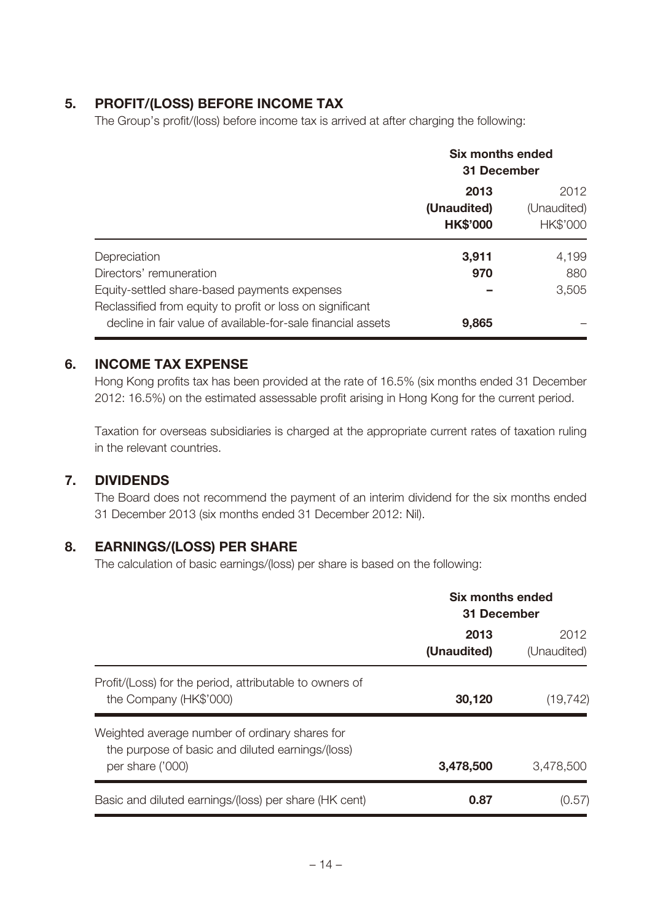### **5. PROFIT/(LOSS) BEFORE INCOME TAX**

The Group's profit/(loss) before income tax is arrived at after charging the following:

|                                                                                                                                                      | <b>Six months ended</b><br>31 December |                                 |  |
|------------------------------------------------------------------------------------------------------------------------------------------------------|----------------------------------------|---------------------------------|--|
|                                                                                                                                                      | 2013<br>(Unaudited)<br><b>HK\$'000</b> | 2012<br>(Unaudited)<br>HK\$'000 |  |
| Depreciation<br>Directors' remuneration<br>Equity-settled share-based payments expenses<br>Reclassified from equity to profit or loss on significant | 3,911<br>970                           | 4,199<br>880<br>3,505           |  |
| decline in fair value of available-for-sale financial assets                                                                                         | 9,865                                  |                                 |  |

### **6. INCOME TAX EXPENSE**

Hong Kong profits tax has been provided at the rate of 16.5% (six months ended 31 December 2012: 16.5%) on the estimated assessable profit arising in Hong Kong for the current period.

Taxation for overseas subsidiaries is charged at the appropriate current rates of taxation ruling in the relevant countries.

#### **7. DIVIDENDS**

The Board does not recommend the payment of an interim dividend for the six months ended 31 December 2013 (six months ended 31 December 2012: Nil).

### **8. EARNINGS/(LOSS) PER SHARE**

The calculation of basic earnings/(loss) per share is based on the following:

|                                                                                                                        | Six months ended<br>31 December |                     |
|------------------------------------------------------------------------------------------------------------------------|---------------------------------|---------------------|
|                                                                                                                        | 2013<br>(Unaudited)             | 2012<br>(Unaudited) |
| Profit/(Loss) for the period, attributable to owners of<br>the Company (HK\$'000)                                      | 30,120                          | (19, 742)           |
| Weighted average number of ordinary shares for<br>the purpose of basic and diluted earnings/(loss)<br>per share ('000) | 3,478,500                       | 3,478,500           |
| Basic and diluted earnings/(loss) per share (HK cent)                                                                  | 0.87                            | (0.57)              |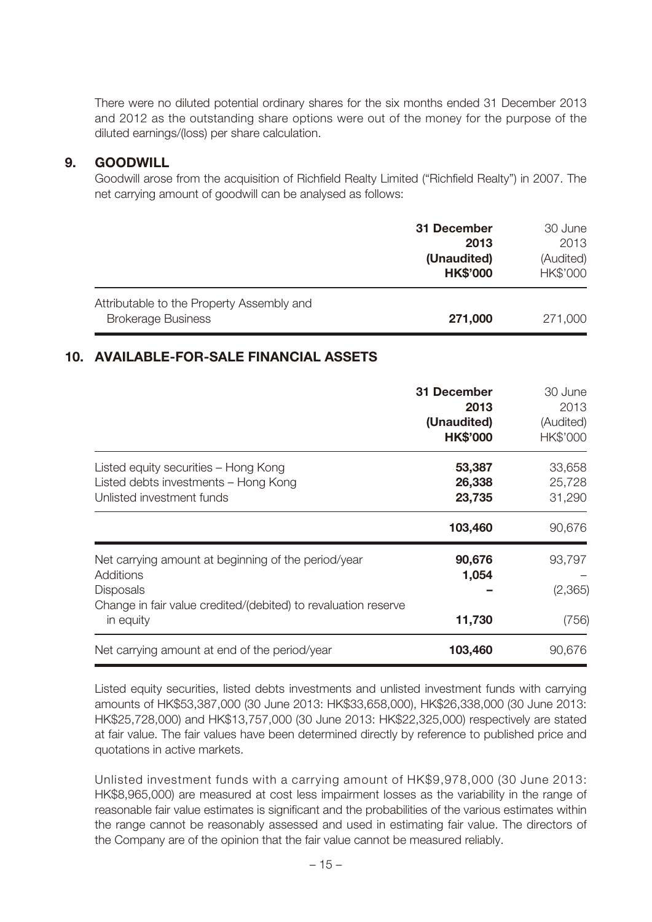There were no diluted potential ordinary shares for the six months ended 31 December 2013 and 2012 as the outstanding share options were out of the money for the purpose of the diluted earnings/(loss) per share calculation.

#### **9. GOODWILL**

Goodwill arose from the acquisition of Richfield Realty Limited ("Richfield Realty") in 2007. The net carrying amount of goodwill can be analysed as follows:

|                                                                        | 31 December<br>2013            | 30 June<br>2013       |
|------------------------------------------------------------------------|--------------------------------|-----------------------|
|                                                                        | (Unaudited)<br><b>HK\$'000</b> | (Audited)<br>HK\$'000 |
| Attributable to the Property Assembly and<br><b>Brokerage Business</b> | 271,000                        | 271,000               |

### **10. AVAILABLE-FOR-SALE FINANCIAL ASSETS**

|                                                                                                           | 31 December<br>2013<br>(Unaudited)<br><b>HK\$'000</b> | 30 June<br>2013<br>(Audited)<br>HK\$'000 |
|-----------------------------------------------------------------------------------------------------------|-------------------------------------------------------|------------------------------------------|
| Listed equity securities – Hong Kong<br>Listed debts investments - Hong Kong<br>Unlisted investment funds | 53,387<br>26,338<br>23,735                            | 33,658<br>25,728<br>31,290               |
|                                                                                                           | 103,460                                               | 90,676                                   |
| Net carrying amount at beginning of the period/year<br>Additions<br><b>Disposals</b>                      | 90,676<br>1,054                                       | 93,797<br>(2, 365)                       |
| Change in fair value credited/(debited) to revaluation reserve<br>in equity                               | 11,730                                                | (756)                                    |
| Net carrying amount at end of the period/year                                                             | 103,460                                               | 90,676                                   |

Listed equity securities, listed debts investments and unlisted investment funds with carrying amounts of HK\$53,387,000 (30 June 2013: HK\$33,658,000), HK\$26,338,000 (30 June 2013: HK\$25,728,000) and HK\$13,757,000 (30 June 2013: HK\$22,325,000) respectively are stated at fair value. The fair values have been determined directly by reference to published price and quotations in active markets.

Unlisted investment funds with a carrying amount of HK\$9,978,000 (30 June 2013: HK\$8,965,000) are measured at cost less impairment losses as the variability in the range of reasonable fair value estimates is significant and the probabilities of the various estimates within the range cannot be reasonably assessed and used in estimating fair value. The directors of the Company are of the opinion that the fair value cannot be measured reliably.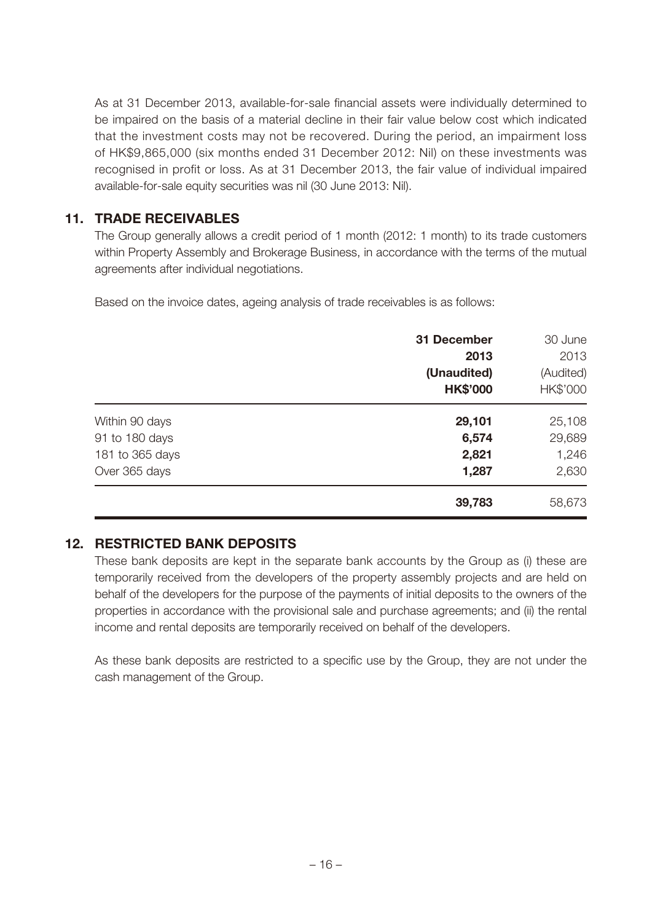As at 31 December 2013, available-for-sale financial assets were individually determined to be impaired on the basis of a material decline in their fair value below cost which indicated that the investment costs may not be recovered. During the period, an impairment loss of HK\$9,865,000 (six months ended 31 December 2012: Nil) on these investments was recognised in profit or loss. As at 31 December 2013, the fair value of individual impaired available-for-sale equity securities was nil (30 June 2013: Nil).

### **11. TRADE RECEIVABLES**

The Group generally allows a credit period of 1 month (2012: 1 month) to its trade customers within Property Assembly and Brokerage Business, in accordance with the terms of the mutual agreements after individual negotiations.

Based on the invoice dates, ageing analysis of trade receivables is as follows:

|                 | 31 December     | 30 June   |
|-----------------|-----------------|-----------|
|                 | 2013            | 2013      |
|                 | (Unaudited)     | (Audited) |
|                 | <b>HK\$'000</b> | HK\$'000  |
| Within 90 days  | 29,101          | 25,108    |
| 91 to 180 days  | 6,574           | 29,689    |
| 181 to 365 days | 2,821           | 1,246     |
| Over 365 days   | 1,287           | 2,630     |
|                 | 39,783          | 58,673    |

### **12. RESTRICTED BANK DEPOSITS**

These bank deposits are kept in the separate bank accounts by the Group as (i) these are temporarily received from the developers of the property assembly projects and are held on behalf of the developers for the purpose of the payments of initial deposits to the owners of the properties in accordance with the provisional sale and purchase agreements; and (ii) the rental income and rental deposits are temporarily received on behalf of the developers.

As these bank deposits are restricted to a specific use by the Group, they are not under the cash management of the Group.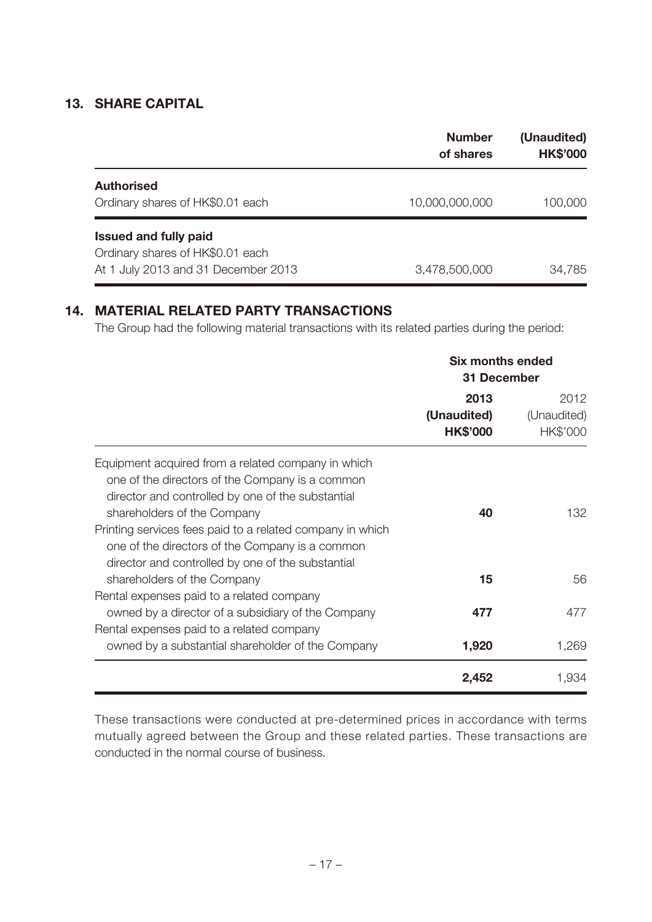#### **13. SHARE CAPITAL**

|                                     | <b>Number</b><br>of shares | (Unaudited)<br><b>HK\$'000</b> |
|-------------------------------------|----------------------------|--------------------------------|
| <b>Authorised</b>                   |                            |                                |
| Ordinary shares of HK\$0.01 each    | 10,000,000,000             | 100,000                        |
| <b>Issued and fully paid</b>        |                            |                                |
| Ordinary shares of HK\$0.01 each    |                            |                                |
| At 1 July 2013 and 31 December 2013 | 3,478,500,000              | 34,785                         |

# **14. MATERIAL RELATED PARTY TRANSACTIONS**

The Group had the following material transactions with its related parties during the period:

|                                                                                                                                                                                           | <b>Six months ended</b><br>31 December |                                 |
|-------------------------------------------------------------------------------------------------------------------------------------------------------------------------------------------|----------------------------------------|---------------------------------|
|                                                                                                                                                                                           | 2013<br>(Unaudited)<br><b>HK\$'000</b> | 2012<br>(Unaudited)<br>HK\$'000 |
| Equipment acquired from a related company in which<br>one of the directors of the Company is a common<br>director and controlled by one of the substantial<br>shareholders of the Company | 40                                     | 132                             |
| Printing services fees paid to a related company in which<br>one of the directors of the Company is a common<br>director and controlled by one of the substantial                         |                                        |                                 |
| shareholders of the Company<br>Rental expenses paid to a related company                                                                                                                  | 15                                     | 56                              |
| owned by a director of a subsidiary of the Company<br>Rental expenses paid to a related company                                                                                           | 477                                    | 477                             |
| owned by a substantial shareholder of the Company                                                                                                                                         | 1,920                                  | 1,269                           |
|                                                                                                                                                                                           | 2,452                                  | 1,934                           |

These transactions were conducted at pre-determined prices in accordance with terms mutually agreed between the Group and these related parties. These transactions are conducted in the normal course of business.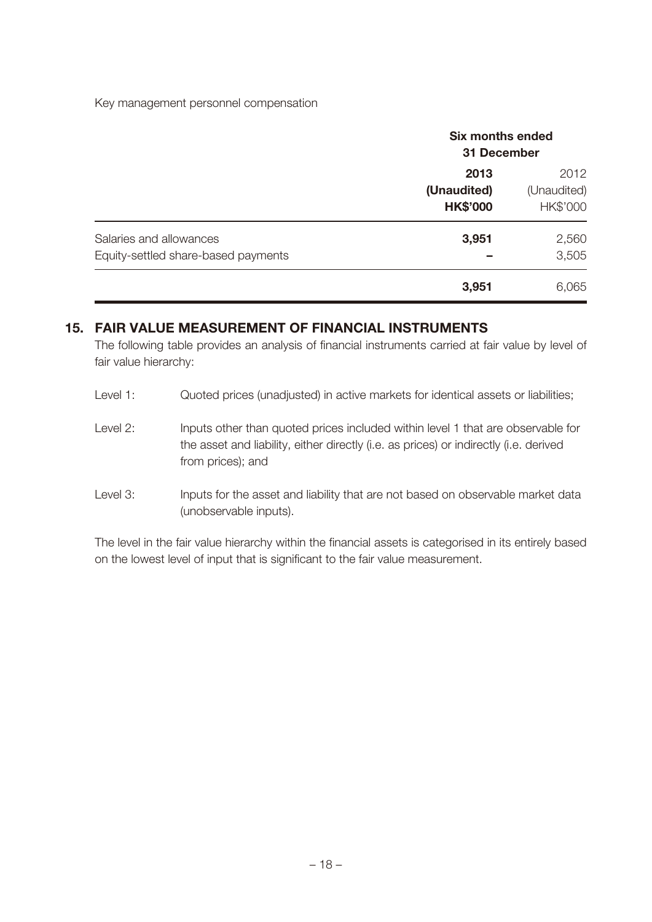Key management personnel compensation

|                                                                         | <b>Six months ended</b><br>31 December |                                 |
|-------------------------------------------------------------------------|----------------------------------------|---------------------------------|
|                                                                         | 2013<br>(Unaudited)<br><b>HK\$'000</b> | 2012<br>(Unaudited)<br>HK\$'000 |
| Salaries and allowances<br>3,951<br>Equity-settled share-based payments |                                        | 2,560<br>3,505                  |
|                                                                         | 3,951                                  | 6,065                           |

#### **15. FAIR VALUE MEASUREMENT OF FINANCIAL INSTRUMENTS**

The following table provides an analysis of financial instruments carried at fair value by level of fair value hierarchy:

- Level 1: Quoted prices (unadjusted) in active markets for identical assets or liabilities;
- Level 2: Inputs other than quoted prices included within level 1 that are observable for the asset and liability, either directly (i.e. as prices) or indirectly (i.e. derived from prices); and
- Level 3: Inputs for the asset and liability that are not based on observable market data (unobservable inputs).

The level in the fair value hierarchy within the financial assets is categorised in its entirely based on the lowest level of input that is significant to the fair value measurement.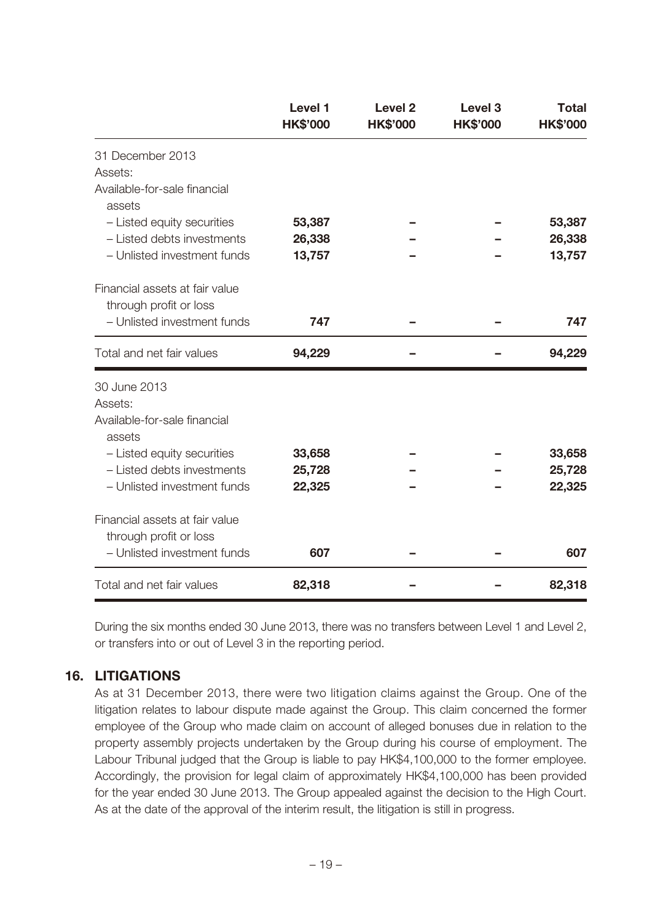|                                                          | Level 1<br><b>HK\$'000</b> | <b>Level 2</b><br><b>HK\$'000</b> | Level <sub>3</sub><br><b>HK\$'000</b> | <b>Total</b><br><b>HK\$'000</b> |
|----------------------------------------------------------|----------------------------|-----------------------------------|---------------------------------------|---------------------------------|
| 31 December 2013                                         |                            |                                   |                                       |                                 |
| Assets:                                                  |                            |                                   |                                       |                                 |
| Available-for-sale financial<br>assets                   |                            |                                   |                                       |                                 |
| - Listed equity securities                               | 53,387                     |                                   |                                       | 53,387                          |
| - Listed debts investments                               | 26,338                     |                                   |                                       | 26,338                          |
| - Unlisted investment funds                              | 13,757                     |                                   |                                       | 13,757                          |
| Financial assets at fair value<br>through profit or loss |                            |                                   |                                       |                                 |
| - Unlisted investment funds                              | 747                        |                                   |                                       | 747                             |
| Total and net fair values                                | 94,229                     |                                   |                                       | 94,229                          |
| 30 June 2013                                             |                            |                                   |                                       |                                 |
| Assets:                                                  |                            |                                   |                                       |                                 |
| Available-for-sale financial<br>assets                   |                            |                                   |                                       |                                 |
| - Listed equity securities                               | 33,658                     |                                   |                                       | 33,658                          |
| - Listed debts investments                               | 25,728                     |                                   |                                       | 25,728                          |
| - Unlisted investment funds                              | 22,325                     |                                   |                                       | 22,325                          |
| Financial assets at fair value<br>through profit or loss |                            |                                   |                                       |                                 |
| - Unlisted investment funds                              | 607                        |                                   |                                       | 607                             |
| Total and net fair values                                | 82,318                     |                                   |                                       | 82,318                          |

During the six months ended 30 June 2013, there was no transfers between Level 1 and Level 2, or transfers into or out of Level 3 in the reporting period.

#### **16. LITIGATIONS**

As at 31 December 2013, there were two litigation claims against the Group. One of the litigation relates to labour dispute made against the Group. This claim concerned the former employee of the Group who made claim on account of alleged bonuses due in relation to the property assembly projects undertaken by the Group during his course of employment. The Labour Tribunal judged that the Group is liable to pay HK\$4,100,000 to the former employee. Accordingly, the provision for legal claim of approximately HK\$4,100,000 has been provided for the year ended 30 June 2013. The Group appealed against the decision to the High Court. As at the date of the approval of the interim result, the litigation is still in progress.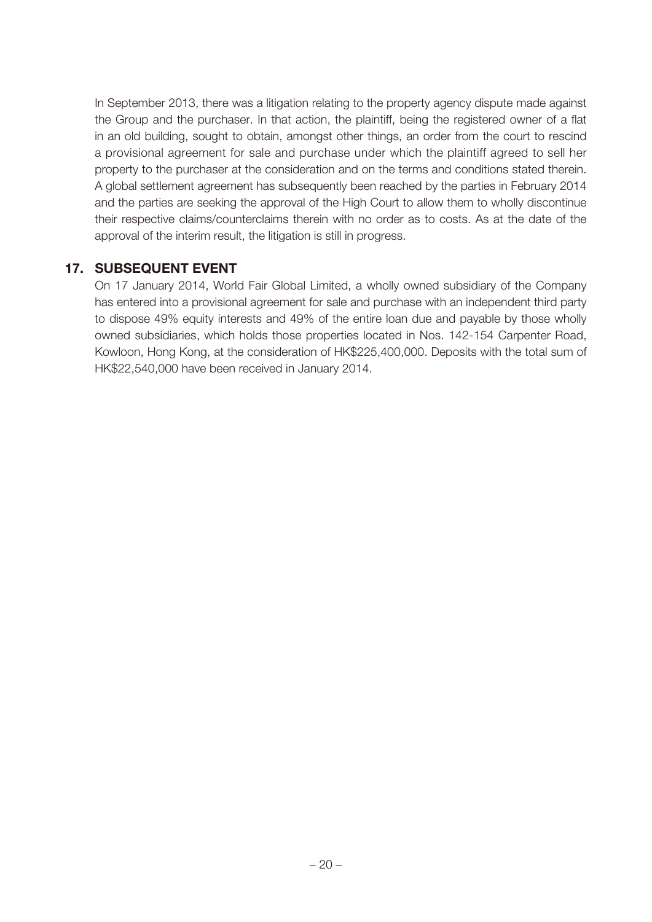In September 2013, there was a litigation relating to the property agency dispute made against the Group and the purchaser. In that action, the plaintiff, being the registered owner of a flat in an old building, sought to obtain, amongst other things, an order from the court to rescind a provisional agreement for sale and purchase under which the plaintiff agreed to sell her property to the purchaser at the consideration and on the terms and conditions stated therein. A global settlement agreement has subsequently been reached by the parties in February 2014 and the parties are seeking the approval of the High Court to allow them to wholly discontinue their respective claims/counterclaims therein with no order as to costs. As at the date of the approval of the interim result, the litigation is still in progress.

#### **17. SUBSEQUENT EVENT**

On 17 January 2014, World Fair Global Limited, a wholly owned subsidiary of the Company has entered into a provisional agreement for sale and purchase with an independent third party to dispose 49% equity interests and 49% of the entire loan due and payable by those wholly owned subsidiaries, which holds those properties located in Nos. 142-154 Carpenter Road, Kowloon, Hong Kong, at the consideration of HK\$225,400,000. Deposits with the total sum of HK\$22,540,000 have been received in January 2014.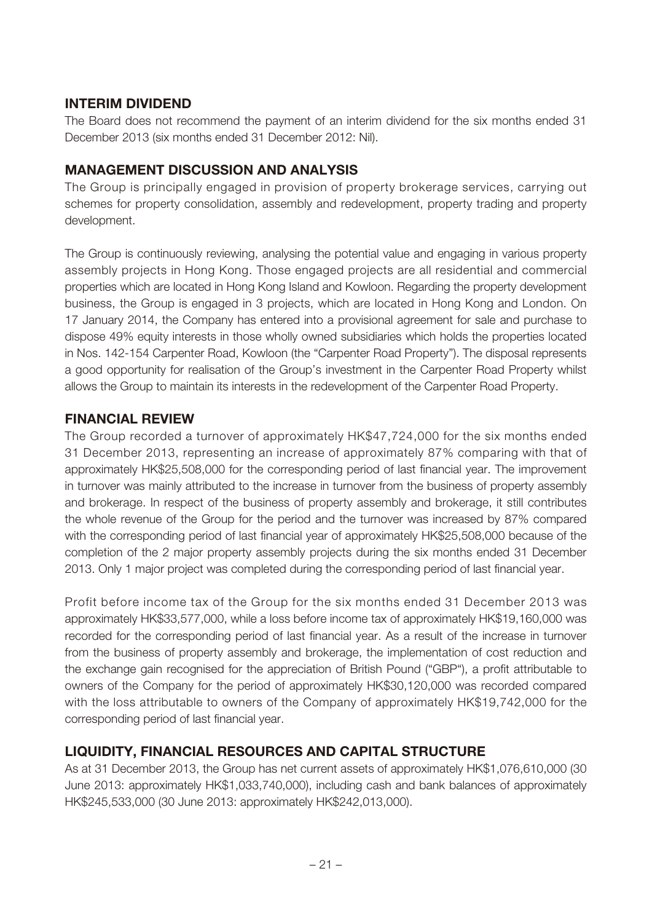### **INTERIM DIVIDEND**

The Board does not recommend the payment of an interim dividend for the six months ended 31 December 2013 (six months ended 31 December 2012: Nil).

### **MANAGEMENT DISCUSSION AND ANALYSIS**

The Group is principally engaged in provision of property brokerage services, carrying out schemes for property consolidation, assembly and redevelopment, property trading and property development.

The Group is continuously reviewing, analysing the potential value and engaging in various property assembly projects in Hong Kong. Those engaged projects are all residential and commercial properties which are located in Hong Kong Island and Kowloon. Regarding the property development business, the Group is engaged in 3 projects, which are located in Hong Kong and London. On 17 January 2014, the Company has entered into a provisional agreement for sale and purchase to dispose 49% equity interests in those wholly owned subsidiaries which holds the properties located in Nos. 142-154 Carpenter Road, Kowloon (the "Carpenter Road Property"). The disposal represents a good opportunity for realisation of the Group's investment in the Carpenter Road Property whilst allows the Group to maintain its interests in the redevelopment of the Carpenter Road Property.

### **FINANCIAL REVIEW**

The Group recorded a turnover of approximately HK\$47,724,000 for the six months ended 31 December 2013, representing an increase of approximately 87% comparing with that of approximately HK\$25,508,000 for the corresponding period of last financial year. The improvement in turnover was mainly attributed to the increase in turnover from the business of property assembly and brokerage. In respect of the business of property assembly and brokerage, it still contributes the whole revenue of the Group for the period and the turnover was increased by 87% compared with the corresponding period of last financial year of approximately HK\$25,508,000 because of the completion of the 2 major property assembly projects during the six months ended 31 December 2013. Only 1 major project was completed during the corresponding period of last financial year.

Profit before income tax of the Group for the six months ended 31 December 2013 was approximately HK\$33,577,000, while a loss before income tax of approximately HK\$19,160,000 was recorded for the corresponding period of last financial year. As a result of the increase in turnover from the business of property assembly and brokerage, the implementation of cost reduction and the exchange gain recognised for the appreciation of British Pound ("GBP"), a profit attributable to owners of the Company for the period of approximately HK\$30,120,000 was recorded compared with the loss attributable to owners of the Company of approximately HK\$19,742,000 for the corresponding period of last financial year.

### **LIQUIDITY, FINANCIAL RESOURCES AND CAPITAL STRUCTURE**

As at 31 December 2013, the Group has net current assets of approximately HK\$1,076,610,000 (30 June 2013: approximately HK\$1,033,740,000), including cash and bank balances of approximately HK\$245,533,000 (30 June 2013: approximately HK\$242,013,000).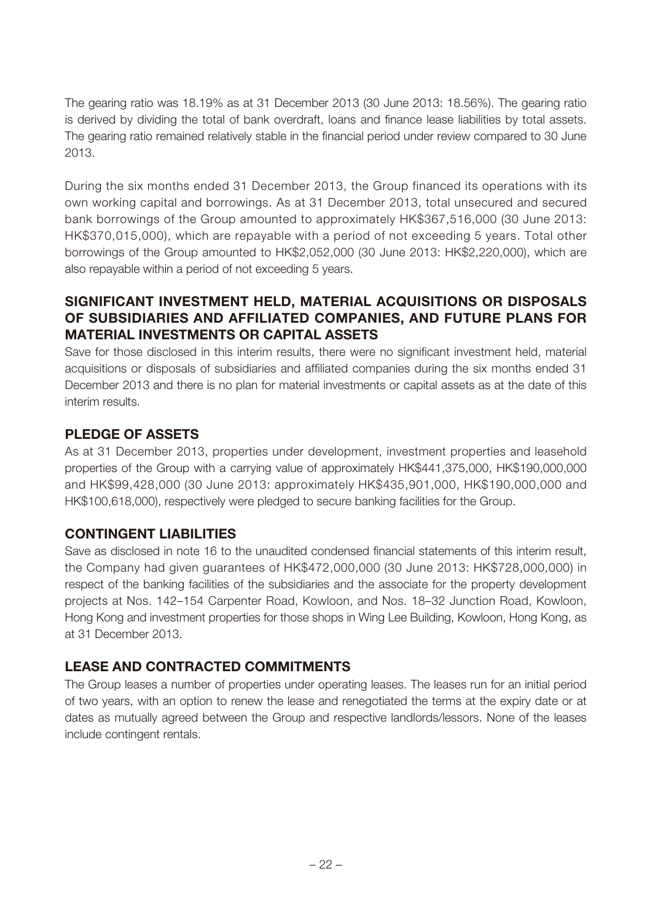The gearing ratio was 18.19% as at 31 December 2013 (30 June 2013: 18.56%). The gearing ratio is derived by dividing the total of bank overdraft, loans and finance lease liabilities by total assets. The gearing ratio remained relatively stable in the financial period under review compared to 30 June 2013.

During the six months ended 31 December 2013, the Group financed its operations with its own working capital and borrowings. As at 31 December 2013, total unsecured and secured bank borrowings of the Group amounted to approximately HK\$367,516,000 (30 June 2013: HK\$370,015,000), which are repayable with a period of not exceeding 5 years. Total other borrowings of the Group amounted to HK\$2,052,000 (30 June 2013: HK\$2,220,000), which are also repayable within a period of not exceeding 5 years.

### **SIGNIFICANT INVESTMENT HELD, MATERIAL ACQUISITIONS OR DISPOSALS OF SUBSIDIARIES AND AFFILIATED COMPANIES, AND FUTURE PLANS FOR MATERIAL INVESTMENTS OR CAPITAL ASSETS**

Save for those disclosed in this interim results, there were no significant investment held, material acquisitions or disposals of subsidiaries and affiliated companies during the six months ended 31 December 2013 and there is no plan for material investments or capital assets as at the date of this interim results.

### **PLEDGE OF ASSETS**

As at 31 December 2013, properties under development, investment properties and leasehold properties of the Group with a carrying value of approximately HK\$441,375,000, HK\$190,000,000 and HK\$99,428,000 (30 June 2013: approximately HK\$435,901,000, HK\$190,000,000 and HK\$100,618,000), respectively were pledged to secure banking facilities for the Group.

### **CONTINGENT LIABILITIES**

Save as disclosed in note 16 to the unaudited condensed financial statements of this interim result, the Company had given guarantees of HK\$472,000,000 (30 June 2013: HK\$728,000,000) in respect of the banking facilities of the subsidiaries and the associate for the property development projects at Nos. 142–154 Carpenter Road, Kowloon, and Nos. 18–32 Junction Road, Kowloon, Hong Kong and investment properties for those shops in Wing Lee Building, Kowloon, Hong Kong, as at 31 December 2013.

### **LEASE AND CONTRACTED COMMITMENTS**

The Group leases a number of properties under operating leases. The leases run for an initial period of two years, with an option to renew the lease and renegotiated the terms at the expiry date or at dates as mutually agreed between the Group and respective landlords/lessors. None of the leases include contingent rentals.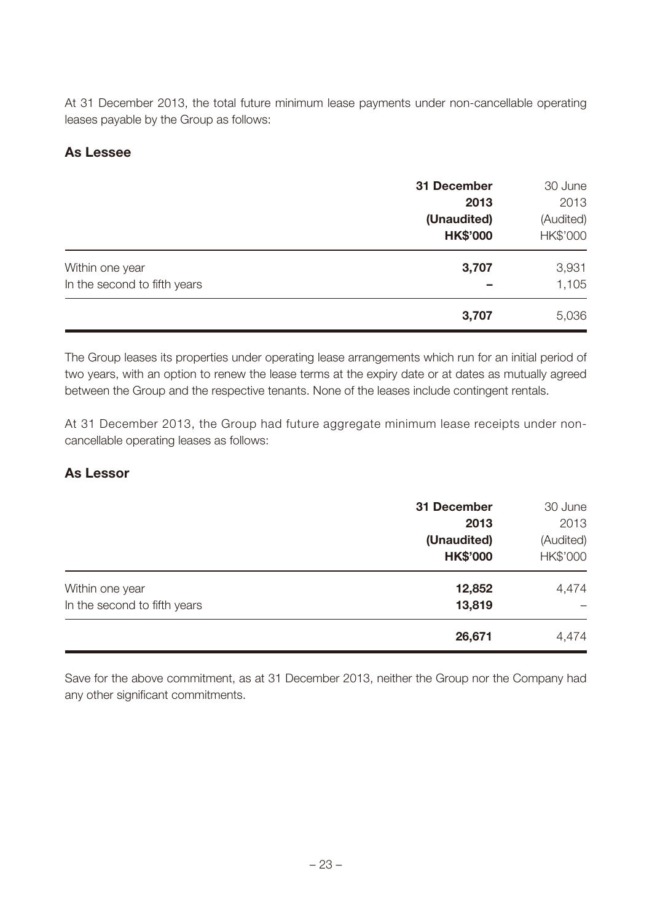At 31 December 2013, the total future minimum lease payments under non-cancellable operating leases payable by the Group as follows:

### **As Lessee**

|                                                 | 31 December<br>2013<br>(Unaudited)<br><b>HK\$'000</b> | 30 June<br>2013<br>(Audited)<br>HK\$'000 |
|-------------------------------------------------|-------------------------------------------------------|------------------------------------------|
| Within one year<br>In the second to fifth years | 3,707                                                 | 3,931<br>1,105                           |
|                                                 | 3,707                                                 | 5,036                                    |

The Group leases its properties under operating lease arrangements which run for an initial period of two years, with an option to renew the lease terms at the expiry date or at dates as mutually agreed between the Group and the respective tenants. None of the leases include contingent rentals.

At 31 December 2013, the Group had future aggregate minimum lease receipts under noncancellable operating leases as follows:

#### **As Lessor**

|                                                 | 31 December<br>2013<br>(Unaudited)<br><b>HK\$'000</b> | 30 June<br>2013<br>(Audited)<br>HK\$'000 |
|-------------------------------------------------|-------------------------------------------------------|------------------------------------------|
| Within one year<br>In the second to fifth years | 12,852<br>13,819                                      | 4,474                                    |
|                                                 | 26,671                                                | 4,474                                    |

Save for the above commitment, as at 31 December 2013, neither the Group nor the Company had any other significant commitments.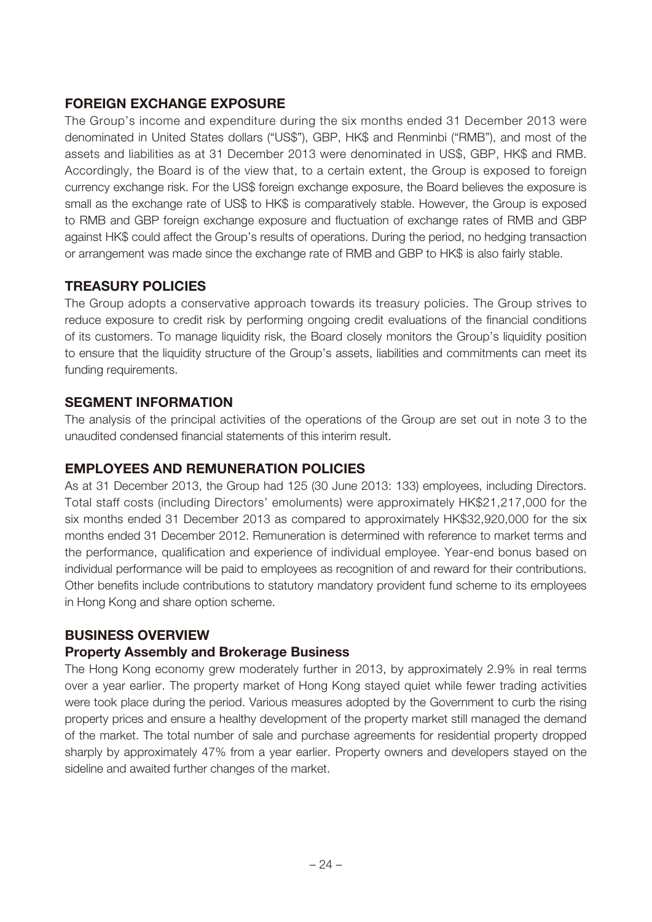### **FOREIGN EXCHANGE EXPOSURE**

The Group's income and expenditure during the six months ended 31 December 2013 were denominated in United States dollars ("US\$"), GBP, HK\$ and Renminbi ("RMB"), and most of the assets and liabilities as at 31 December 2013 were denominated in US\$, GBP, HK\$ and RMB. Accordingly, the Board is of the view that, to a certain extent, the Group is exposed to foreign currency exchange risk. For the US\$ foreign exchange exposure, the Board believes the exposure is small as the exchange rate of US\$ to HK\$ is comparatively stable. However, the Group is exposed to RMB and GBP foreign exchange exposure and fluctuation of exchange rates of RMB and GBP against HK\$ could affect the Group's results of operations. During the period, no hedging transaction or arrangement was made since the exchange rate of RMB and GBP to HK\$ is also fairly stable.

### **TREASURY POLICIES**

The Group adopts a conservative approach towards its treasury policies. The Group strives to reduce exposure to credit risk by performing ongoing credit evaluations of the financial conditions of its customers. To manage liquidity risk, the Board closely monitors the Group's liquidity position to ensure that the liquidity structure of the Group's assets, liabilities and commitments can meet its funding requirements.

### **SEGMENT INFORMATION**

The analysis of the principal activities of the operations of the Group are set out in note 3 to the unaudited condensed financial statements of this interim result.

### **EMPLOYEES AND REMUNERATION POLICIES**

As at 31 December 2013, the Group had 125 (30 June 2013: 133) employees, including Directors. Total staff costs (including Directors' emoluments) were approximately HK\$21,217,000 for the six months ended 31 December 2013 as compared to approximately HK\$32,920,000 for the six months ended 31 December 2012. Remuneration is determined with reference to market terms and the performance, qualification and experience of individual employee. Year-end bonus based on individual performance will be paid to employees as recognition of and reward for their contributions. Other benefits include contributions to statutory mandatory provident fund scheme to its employees in Hong Kong and share option scheme.

### **BUSINESS OVERVIEW**

#### **Property Assembly and Brokerage Business**

The Hong Kong economy grew moderately further in 2013, by approximately 2.9% in real terms over a year earlier. The property market of Hong Kong stayed quiet while fewer trading activities were took place during the period. Various measures adopted by the Government to curb the rising property prices and ensure a healthy development of the property market still managed the demand of the market. The total number of sale and purchase agreements for residential property dropped sharply by approximately 47% from a year earlier. Property owners and developers stayed on the sideline and awaited further changes of the market.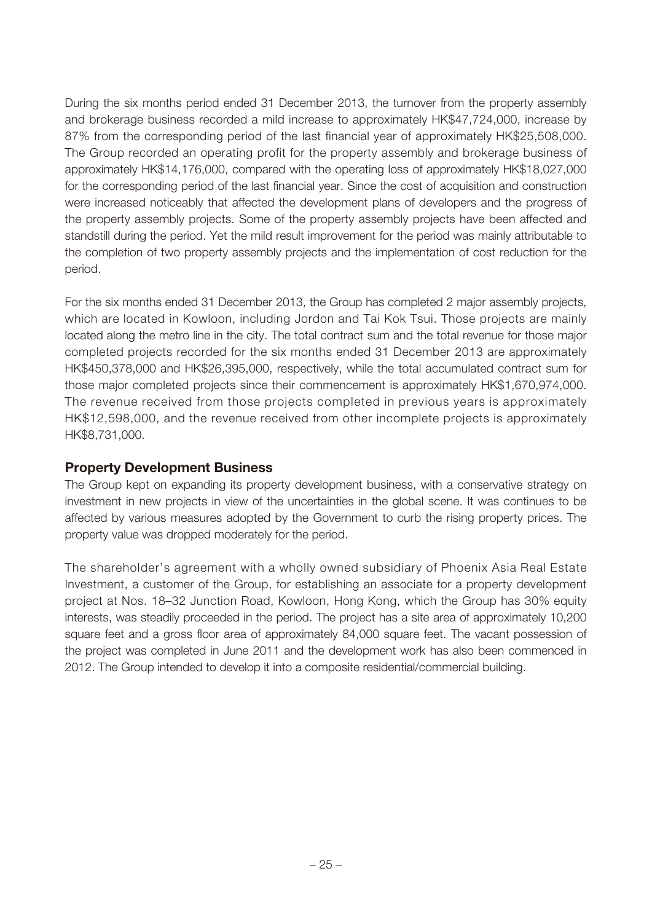During the six months period ended 31 December 2013, the turnover from the property assembly and brokerage business recorded a mild increase to approximately HK\$47,724,000, increase by 87% from the corresponding period of the last financial year of approximately HK\$25,508,000. The Group recorded an operating profit for the property assembly and brokerage business of approximately HK\$14,176,000, compared with the operating loss of approximately HK\$18,027,000 for the corresponding period of the last financial year. Since the cost of acquisition and construction were increased noticeably that affected the development plans of developers and the progress of the property assembly projects. Some of the property assembly projects have been affected and standstill during the period. Yet the mild result improvement for the period was mainly attributable to the completion of two property assembly projects and the implementation of cost reduction for the period.

For the six months ended 31 December 2013, the Group has completed 2 major assembly projects, which are located in Kowloon, including Jordon and Tai Kok Tsui. Those projects are mainly located along the metro line in the city. The total contract sum and the total revenue for those major completed projects recorded for the six months ended 31 December 2013 are approximately HK\$450,378,000 and HK\$26,395,000, respectively, while the total accumulated contract sum for those major completed projects since their commencement is approximately HK\$1,670,974,000. The revenue received from those projects completed in previous years is approximately HK\$12,598,000, and the revenue received from other incomplete projects is approximately HK\$8,731,000.

#### **Property Development Business**

The Group kept on expanding its property development business, with a conservative strategy on investment in new projects in view of the uncertainties in the global scene. It was continues to be affected by various measures adopted by the Government to curb the rising property prices. The property value was dropped moderately for the period.

The shareholder's agreement with a wholly owned subsidiary of Phoenix Asia Real Estate Investment, a customer of the Group, for establishing an associate for a property development project at Nos. 18–32 Junction Road, Kowloon, Hong Kong, which the Group has 30% equity interests, was steadily proceeded in the period. The project has a site area of approximately 10,200 square feet and a gross floor area of approximately 84,000 square feet. The vacant possession of the project was completed in June 2011 and the development work has also been commenced in 2012. The Group intended to develop it into a composite residential/commercial building.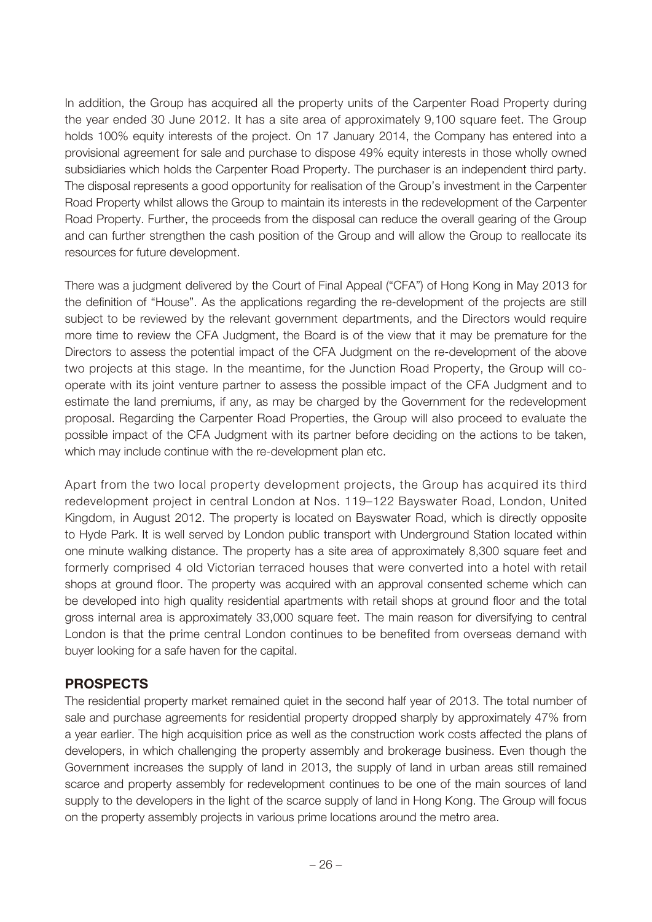In addition, the Group has acquired all the property units of the Carpenter Road Property during the year ended 30 June 2012. It has a site area of approximately 9,100 square feet. The Group holds 100% equity interests of the project. On 17 January 2014, the Company has entered into a provisional agreement for sale and purchase to dispose 49% equity interests in those wholly owned subsidiaries which holds the Carpenter Road Property. The purchaser is an independent third party. The disposal represents a good opportunity for realisation of the Group's investment in the Carpenter Road Property whilst allows the Group to maintain its interests in the redevelopment of the Carpenter Road Property. Further, the proceeds from the disposal can reduce the overall gearing of the Group and can further strengthen the cash position of the Group and will allow the Group to reallocate its resources for future development.

There was a judgment delivered by the Court of Final Appeal ("CFA") of Hong Kong in May 2013 for the definition of "House". As the applications regarding the re-development of the projects are still subject to be reviewed by the relevant government departments, and the Directors would require more time to review the CFA Judgment, the Board is of the view that it may be premature for the Directors to assess the potential impact of the CFA Judgment on the re-development of the above two projects at this stage. In the meantime, for the Junction Road Property, the Group will cooperate with its joint venture partner to assess the possible impact of the CFA Judgment and to estimate the land premiums, if any, as may be charged by the Government for the redevelopment proposal. Regarding the Carpenter Road Properties, the Group will also proceed to evaluate the possible impact of the CFA Judgment with its partner before deciding on the actions to be taken, which may include continue with the re-development plan etc.

Apart from the two local property development projects, the Group has acquired its third redevelopment project in central London at Nos. 119–122 Bayswater Road, London, United Kingdom, in August 2012. The property is located on Bayswater Road, which is directly opposite to Hyde Park. It is well served by London public transport with Underground Station located within one minute walking distance. The property has a site area of approximately 8,300 square feet and formerly comprised 4 old Victorian terraced houses that were converted into a hotel with retail shops at ground floor. The property was acquired with an approval consented scheme which can be developed into high quality residential apartments with retail shops at ground floor and the total gross internal area is approximately 33,000 square feet. The main reason for diversifying to central London is that the prime central London continues to be benefited from overseas demand with buyer looking for a safe haven for the capital.

### **PROSPECTS**

The residential property market remained quiet in the second half year of 2013. The total number of sale and purchase agreements for residential property dropped sharply by approximately 47% from a year earlier. The high acquisition price as well as the construction work costs affected the plans of developers, in which challenging the property assembly and brokerage business. Even though the Government increases the supply of land in 2013, the supply of land in urban areas still remained scarce and property assembly for redevelopment continues to be one of the main sources of land supply to the developers in the light of the scarce supply of land in Hong Kong. The Group will focus on the property assembly projects in various prime locations around the metro area.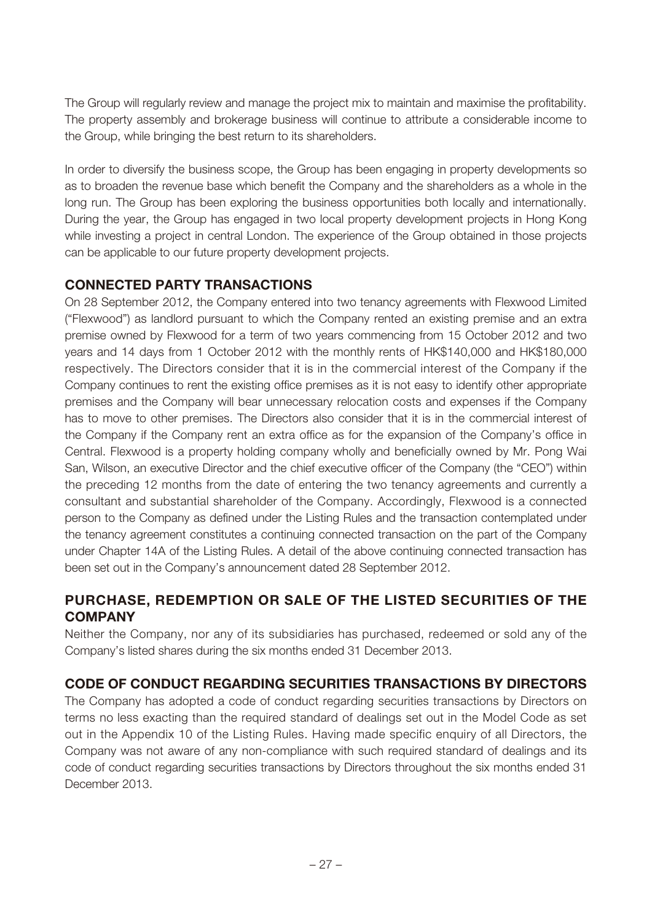The Group will regularly review and manage the project mix to maintain and maximise the profitability. The property assembly and brokerage business will continue to attribute a considerable income to the Group, while bringing the best return to its shareholders.

In order to diversify the business scope, the Group has been engaging in property developments so as to broaden the revenue base which benefit the Company and the shareholders as a whole in the long run. The Group has been exploring the business opportunities both locally and internationally. During the year, the Group has engaged in two local property development projects in Hong Kong while investing a project in central London. The experience of the Group obtained in those projects can be applicable to our future property development projects.

### **CONNECTED PARTY TRANSACTIONS**

On 28 September 2012, the Company entered into two tenancy agreements with Flexwood Limited ("Flexwood") as landlord pursuant to which the Company rented an existing premise and an extra premise owned by Flexwood for a term of two years commencing from 15 October 2012 and two years and 14 days from 1 October 2012 with the monthly rents of HK\$140,000 and HK\$180,000 respectively. The Directors consider that it is in the commercial interest of the Company if the Company continues to rent the existing office premises as it is not easy to identify other appropriate premises and the Company will bear unnecessary relocation costs and expenses if the Company has to move to other premises. The Directors also consider that it is in the commercial interest of the Company if the Company rent an extra office as for the expansion of the Company's office in Central. Flexwood is a property holding company wholly and beneficially owned by Mr. Pong Wai San, Wilson, an executive Director and the chief executive officer of the Company (the "CEO") within the preceding 12 months from the date of entering the two tenancy agreements and currently a consultant and substantial shareholder of the Company. Accordingly, Flexwood is a connected person to the Company as defined under the Listing Rules and the transaction contemplated under the tenancy agreement constitutes a continuing connected transaction on the part of the Company under Chapter 14A of the Listing Rules. A detail of the above continuing connected transaction has been set out in the Company's announcement dated 28 September 2012.

# **PURCHASE, REDEMPTION OR SALE OF THE LISTED SECURITIES OF THE COMPANY**

Neither the Company, nor any of its subsidiaries has purchased, redeemed or sold any of the Company's listed shares during the six months ended 31 December 2013.

# **CODE OF CONDUCT REGARDING SECURITIES TRANSACTIONS BY DIRECTORS**

The Company has adopted a code of conduct regarding securities transactions by Directors on terms no less exacting than the required standard of dealings set out in the Model Code as set out in the Appendix 10 of the Listing Rules. Having made specific enquiry of all Directors, the Company was not aware of any non-compliance with such required standard of dealings and its code of conduct regarding securities transactions by Directors throughout the six months ended 31 December 2013.